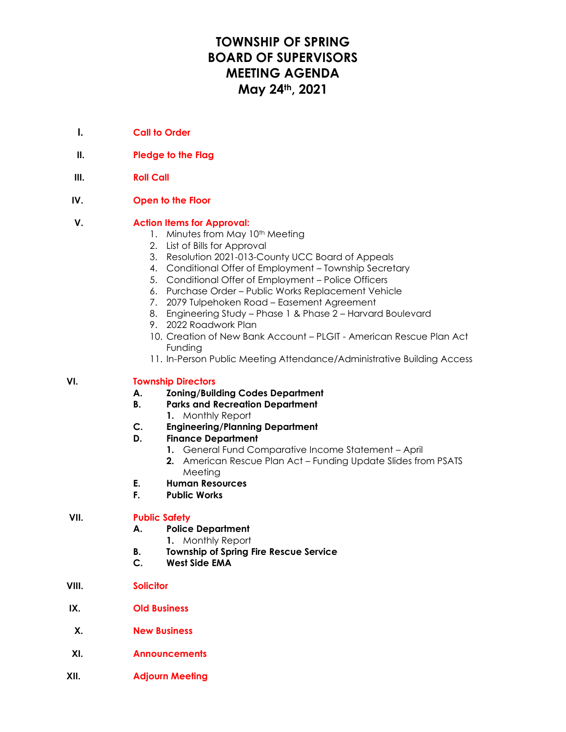# **TOWNSHIP OF SPRING BOARD OF SUPERVISORS MEETING AGENDA May 24th, 2021**

- **I. Call to Order**
- **II. Pledge to the Flag**
- **III. Roll Call**
- **IV. Open to the Floor**

### **V. Action Items for Approval:**

- 1. Minutes from May 10<sup>th</sup> Meeting
- 2. List of Bills for Approval
- 3. Resolution 2021-013-County UCC Board of Appeals
- 4. Conditional Offer of Employment Township Secretary
- 5. Conditional Offer of Employment Police Officers
- 6. Purchase Order Public Works Replacement Vehicle
- 7. 2079 Tulpehoken Road Easement Agreement
- 8. Engineering Study Phase 1 & Phase 2 Harvard Boulevard
- 9. 2022 Roadwork Plan
- 10. Creation of New Bank Account PLGIT American Rescue Plan Act Funding
- 11. In-Person Public Meeting Attendance/Administrative Building Access

#### **VI. Township Directors**

- **A. Zoning/Building Codes Department**
- **B. Parks and Recreation Department**
	- **1.** Monthly Report
- **C. Engineering/Planning Department**

#### **D. Finance Department**

- **1.** General Fund Comparative Income Statement April
- **2.** American Rescue Plan Act Funding Update Slides from PSATS Meeting
- **E. Human Resources**
- **F. Public Works**

#### **VII. Public Safety**

- **A. Police Department**
	- **1.** Monthly Report
- **B. Township of Spring Fire Rescue Service**
- **C. West Side EMA**
- **VIII. Solicitor**
- **IX. Old Business**
- **X. New Business**
- **XI. Announcements**
- **XII. Adjourn Meeting**